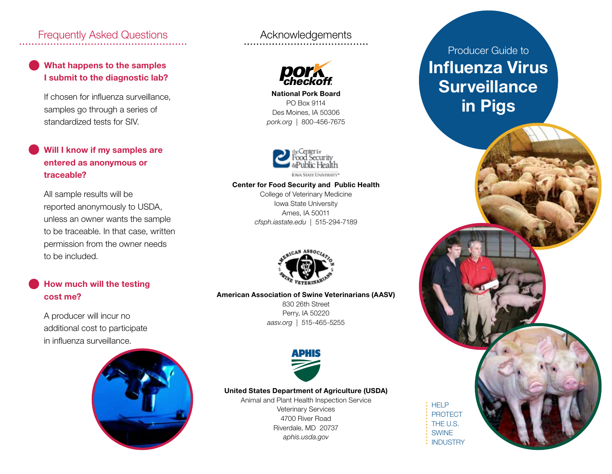## Frequently Asked Questions **Acknowledgements**

### What happens to the samples I submit to the diagnostic lab?

If chosen for influenza surveillance, samples go through a series of standardized tests for SIV.

### Will I know if my samples are entered as anonymous or traceable?

All sample results will be reported anonymously to USDA, unless an owner wants the sample to be traceable. In that case, written permission from the owner needs to be included.

### How much will the testing cost me?

A producer will incur no additional cost to participate in influenza surveillance.





National Pork Board PO Box 9114 Des Moines, IA 50306 *pork.org* | 800-456-7675



#### Center for Food Security and Public Health

College of Veterinary Medicine Iowa State University Ames, IA 50011 *cfsph.iastate.edu* | 515-294-7189



### American Association of Swine Veterinarians (AASV)

830 26th Street Perry, IA 50220 *aasv.org* | 515-465-5255



#### United States Department of Agriculture (USDA)

Animal and Plant Health Inspection Service Veterinary Services 4700 River Road Riverdale, MD 20737 *aphis.usda.gov*

# Producer Guide to Influenza Virus **Surveillance** in Pigs